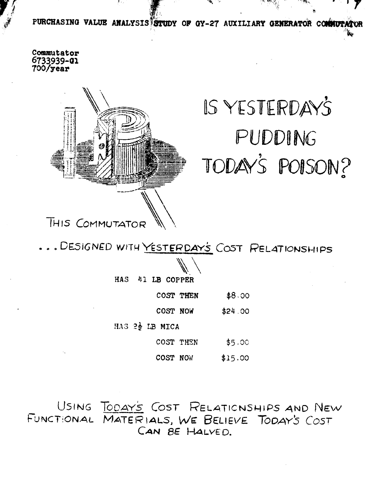PURCHASING VALUE ANALYSIS STUDY OF GY-27 AUXILIARY GENERATOR COMMUTATOR

Commutator 6733939-01<br>700/year



# IS YESTERDAY'S PUDDING TODAY'S POISON?

... DESIGNED WITH YESTERDAY'S COST RELATIONSHIPS

**HAS 41 LB COPPER** 

COST **THEN** \$8.00

COST **NOW** \$24 .30

HAS 22 LB MICA

COST **TEN** \$5,9C

COST NOW  $$15.00$ 

USING TODAY'S COST RELATIONSHIPS AND NEW FUNCTIONAL MATERIALS, WE BELIEVE TODAY'S COST CAN BE HALVED.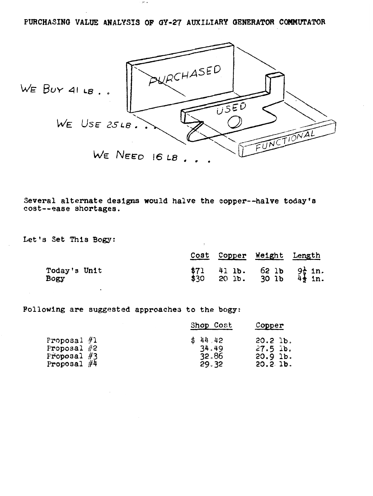**PURCHASING VALUE ANALYSIS OF QY-27 AUXILIARY GENERATOR COMMUTATOR** 

**do a** 



**Several alternate designs would halve the copper--halve today's cost--ease shortages.** 

**Let's Set This Bogy:** 

| TAT ATASTIANA AARTEND MANYA HATIA AHA AANNAT HATIA AARAM R<br>--ease shortages. |              |        |                                |                                          |
|---------------------------------------------------------------------------------|--------------|--------|--------------------------------|------------------------------------------|
| s Set This Bogy:                                                                |              |        |                                |                                          |
|                                                                                 | Cost         | Copper | Weight Length                  |                                          |
| Today's Unit<br>Bogy                                                            | \$71<br>\$30 |        | 41 lb. $62$ lb<br>20 lb. 30 lb | $9\frac{1}{4}$ in.<br>$4\frac{1}{2}$ in. |

**Pollowing are suggested approaches** to **the bogy:** 

|                                                                  | Shop Cost |                                    |                                                 | Copper |  |
|------------------------------------------------------------------|-----------|------------------------------------|-------------------------------------------------|--------|--|
| Proposal $#1$<br>Proposal $#2$<br>Froposal $#3$<br>Proposal $#4$ |           | \$44.42<br>34.49<br>32.86<br>29.32 | 20.2 lb.<br>$27.5$ ib.<br>$20.9$ lb.<br>20.21b. |        |  |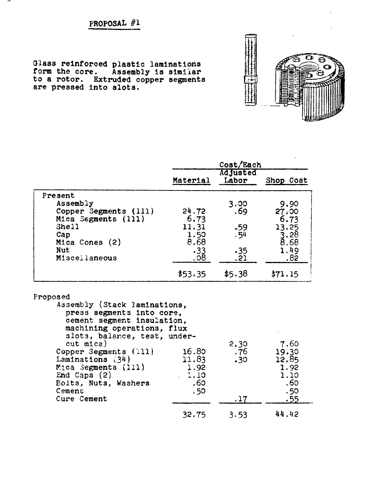. .

Glass reinforced plastic laminations<br>form the core. Assembly is similar to a rotor. Extruded copper segments are pressed into slots.



|                                                                                                                                                                                                                                                                                              |                                              | Cost/Each                |                                                                   |
|----------------------------------------------------------------------------------------------------------------------------------------------------------------------------------------------------------------------------------------------------------------------------------------------|----------------------------------------------|--------------------------|-------------------------------------------------------------------|
|                                                                                                                                                                                                                                                                                              | Material                                     | <b>Adjusted</b><br>Labor | Shop Cost                                                         |
| Present                                                                                                                                                                                                                                                                                      |                                              |                          |                                                                   |
| Assembly                                                                                                                                                                                                                                                                                     |                                              | 3.00                     | 9.90                                                              |
| Copper Segments (111)                                                                                                                                                                                                                                                                        | 24.72                                        | .69                      | 27.00                                                             |
| Mica Segments (111)                                                                                                                                                                                                                                                                          | 6.73                                         |                          | 6.73                                                              |
| Shell                                                                                                                                                                                                                                                                                        | 11.31                                        | $-59$                    | 13.25                                                             |
| Cap<br>Mica Cones (2)                                                                                                                                                                                                                                                                        | 1.50<br>8.68                                 | . 54                     | $3.28$<br>8.68                                                    |
| Nut                                                                                                                                                                                                                                                                                          | .33                                          | $-35$                    | 1.49                                                              |
| Miscellaneous                                                                                                                                                                                                                                                                                | 80.                                          | , 21                     | .82                                                               |
|                                                                                                                                                                                                                                                                                              |                                              |                          |                                                                   |
|                                                                                                                                                                                                                                                                                              | \$53.35                                      | \$5.38                   | \$71.15                                                           |
| Assembly (Stack laminations,<br>press segments into core,<br>cement segment insulation,<br>machining operations, flux<br>slots, balance, test, under-<br>cut mica)<br>Copper Segments (111)<br>Laminations $(34)$<br>Mica Segments (211)<br>End Caps $(2)$<br>Bolts, Nuts, Washers<br>Cement | 16.80<br>11.83<br>1.92<br>1.10<br>.60<br>.50 | 2.30<br>76 .<br>.30      | 7.60<br>19.30<br>12.85<br>1.92<br>1.10<br>.60<br>.50 <sub>2</sub> |
| Cure Cement                                                                                                                                                                                                                                                                                  |                                              | .17                      | .55                                                               |
|                                                                                                                                                                                                                                                                                              | 32.75                                        | 3.53                     | 44.42                                                             |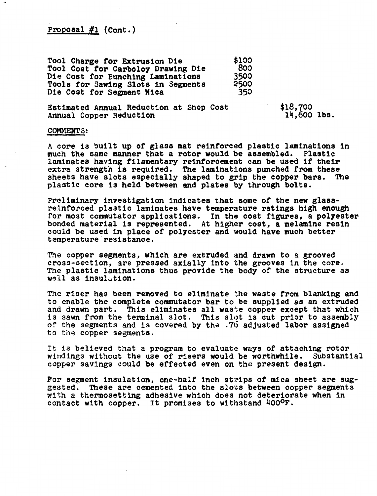$Proposa1$   $#1$   $(Cont.)$ 

**Tool Charge for Extrusion Die \$133 \$133**<br>**Tool Cost for Carboloy Drawing Die** 833 **Tool Coat for Carboloy Drawing Die 833 Die Cost for Punching Laminations 3539**  Die Cost for Punching Laminations 3500<br>Tools for Sawing Slots in Segments 2500 Die Cost for Segment Mica<sup>350</sup>

**Estimated Annual Reduction at Shop Cost Annual Copper Reduction** 

**\$18,733 14,603 lbs.** 

#### **COMMENTS:**

**A core is built up of glass mat reinforced plastic laminations in much the same manner that a rotor would be assembled. Plastic laminates having filamentary reinforcement can be used if thefr extra strength is required. The lamlnatlons punched from these sheets have slots especially shaped to grip the copper bars. The plastic core is held between end plates by through bolts.** 

**Preliminary investigation indicates that some of the new glassreinforced plastic laminates have temperature ratings high enough for most commutator applications. In the cost figures, a polyester bonded material Is represented. At higher cost, a melamine resin could be used in place of polyester and would have much better temperature'resistance.** 

**The copper segments, which are extruded and drawn to a grooved cross-section, are pressed axially into the grooves in the core. The plastic laminations thus provide the body of the structure as**  well as insulation.

**The riser has been removed to eliminate ;he waste from blanking and to enable the complete commutator bar to be supplied as an extruded**  and drawn part. This eliminates all waste copper except that which **Is sawn from the teminal slot. This slot Is cut prior to assembly oS the segments and is covered by thz .76 adJusted labor assigned to** the **copper segments.** 

**It is believed that a program to evaluate ways of attaching rotor windings without the use of risers would be worthwhile. Substantial copper savings could be effected even on the present design.** 

**For segment insulation, one-half inch strips of mica sheet are suggested. These are cemented into the slozs between copper segments with a thermosetting adhesive which does not deteriorate when in**  contact with copper. It promises to withstand 400<sup>0</sup>F.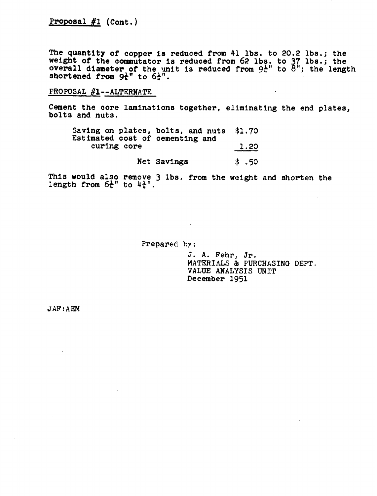# $Proposa1$   $#1$   $(Cont.)$

**The quantity of copper la reduced from 41 Ibs. to 20.2 lbs.; the**  weight of the commutator is reduced from 62 lbs. to 37 lbs.; the **overall diameter of the unit is reduced from**  $9\frac{1}{4}$ **" to**  $8$ **"; the length shortened from**  $9\frac{1}{4}$ **" to**  $6\frac{1}{4}$ **".** 

## PROPOSAL  $#1$ --ALTERNATE

**Cement the core lamlnatlons together, eliminating the end plates, bolts and nuts.** 

| Saving on plates, bolts, and nuts \$1.70<br>Estimated cost of cementing and |                |
|-----------------------------------------------------------------------------|----------------|
| curing core                                                                 | 1.20           |
| Net Savings                                                                 | $\sqrt{3}$ .50 |

**This would also remove 3 lbs. from the weight and shorten the**  length from  $6\frac{1}{4}$ " to  $4\frac{1}{4}$ ".

 $\mathcal{L}$ 

Prepared **hy**:

 $J.$  A. Fehr, Jr. **MATERIALS** & **PURCHASING** DEPT, **VALUE ANALYSIS UNIT December 1951** 

 $JAF:AEM$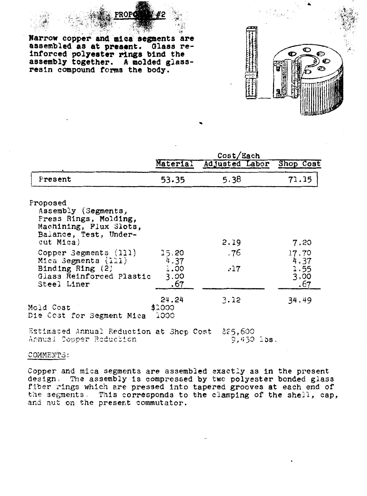.' **-7 Harrow copper and riea** segments **are**  assembled **aa at present. Olass reinforced polyester rlnga bind the aasembly together. A molded glassresin compound forms the body.** 

ROPI

|                                                                                                                                                                                                                                           | Cost/Each                            |                    |                                              |  |
|-------------------------------------------------------------------------------------------------------------------------------------------------------------------------------------------------------------------------------------------|--------------------------------------|--------------------|----------------------------------------------|--|
|                                                                                                                                                                                                                                           | Material                             | Adjusted Labor     | Shop Cost                                    |  |
| Present                                                                                                                                                                                                                                   | 53.35                                | 5.38               | 71.15                                        |  |
| Proposed<br>Assembly (Segments,<br>Press Rings, Molding,<br>Machining, Flux Slots,<br>Balance, Test, Under-<br>cut Mica)<br>Copper Segments (111)<br>Mica Segments (111)<br>Binding Ring $(2)$<br>Glass Reinforced Plastic<br>Steel Liner | 15.20<br>4.37<br>3.00<br>3.00<br>.67 | 2.19<br>.76<br>.17 | 7.20<br>17.70<br>4.37<br>1.55<br>3,00<br>.67 |  |
| Mold Cost<br>Die Cost for Segment Mica                                                                                                                                                                                                    | 24.24<br>\$1000<br>ျာ၁၁              | 3.12               | 34.49                                        |  |

Estimated Annual Reduction at Shop Cost \$25,600  $9,450$  ibs. Annual Copper Reduction

COMMENTS:

**Copper and** mica **segments are assembled exactly as in the present design, 212 assembly Is cowp~essed by twc polyester bonded glass**  flber **which are pressed** Into **tapered grooves at each end of**  the segments, **This corresponds to the clamplng of the shell, cap, acd nut on** the **preserit commutator.**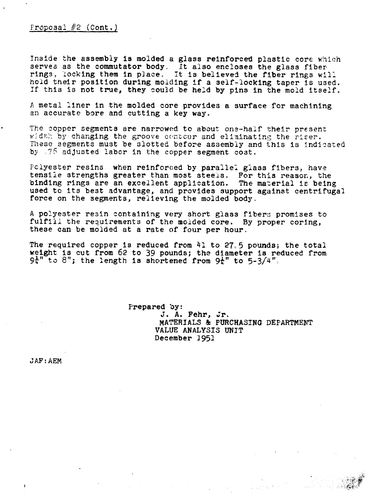**Inside** the assembly **la** molded a glass reinforced plastic core **which**  serves as **the** commutator body; It also encloses the glass fiber sings, locking them in **place,** it is believed the fiber rings **w:l;**  hold their position during moiding if a self-locking taper is used. If this is not true, they sould be held by pins in the mold **itself.** 

**<sup>A</sup>**metal liner in the molded **core** provides a surface for machining an accurate bore and cutting a key **way.** 

The copper segments are narrowed to about one-half their present width by changing the groove centour and eliminating the riser. These segments must be slotted before assembly and this is indicated by  $\sqrt{76}$  adjusted labor in the copper segment cost.

Fclyester resins when reinforced by parallel glass fibers, have tensiie strengths greater **than** most steels. For this reasor., the binding rings are an **excellent** appllzation. **The** material **IE** being used to its best advantage, and provides support **against** centrifugal force on the segments, relieving **the** molded body,

**<sup>A</sup>**polyester resin containing **very** short glass fibers promises to **fulfiil** the **requirements** of the moided core. By proper coring, these can be molded at a rate of four per houra

**The** required copper is reduced from **41** to **27<5** pounds; the total **weight is cut from 62 to 39 pounds; the diameter is reduced from**  $9t''$  **to 8"; the length is shortened from**  $9t''$  **to**  $5-3/4''$ **.** 

> Prepared by: J. A. Fehr, Jr. MATERIALS & **PURCHASING DEPARTMENT VALUE** ANALYSIS UNIT December **1951**

**J AF** : **AEM**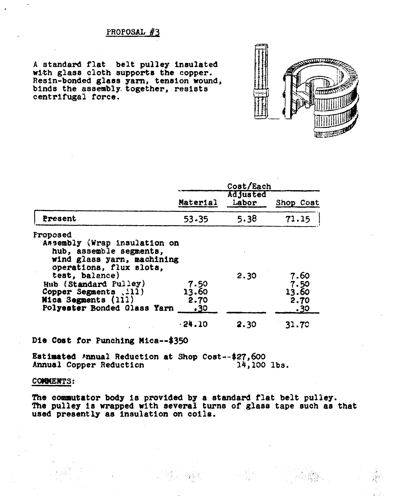## PROPOSAL #3

A standard flat belt pulley insulated with glass cloth supports the copper. Resin-bonded glass yarn, tension wound,<br>binds the assembly together, resists centrifugal force.



|                                                                                                                                                                                                                                                        |                              | Cost/Each         |                                      |
|--------------------------------------------------------------------------------------------------------------------------------------------------------------------------------------------------------------------------------------------------------|------------------------------|-------------------|--------------------------------------|
|                                                                                                                                                                                                                                                        | Material                     | Adjusted<br>Labor | Shop Cost                            |
| Present                                                                                                                                                                                                                                                | 53-35                        | 5.38              | 71.15                                |
| Proposed<br>Assembly (Wrap insulation on<br>hub, assemble segments,<br>wind glass yarn, machining<br>operations, flux slots,<br>test, balance)<br>Hub (Standard Pulley)<br>Copper Segments (111)<br>Mica Segments (111)<br>Polyester Bonded Glass Yarn | 7.50<br>13.60<br>2.70<br>.30 | 2.30              | 7.60<br>7.50<br>13.60<br>2.70<br>.30 |
|                                                                                                                                                                                                                                                        | $-24.10$                     | 2.30              | 31.70                                |

Die Cost for Punching Mica--\$350

Estimated Annual Reduction at Shop Cost--\$27,600 Annual Copper Reduction  $14,100$  lbs.

### **COMMENTS:**

The commutator body is provided by a standard flat belt pulley. The pulley is wrapped with several turns of glass tape such as that used presently as insulation on coils.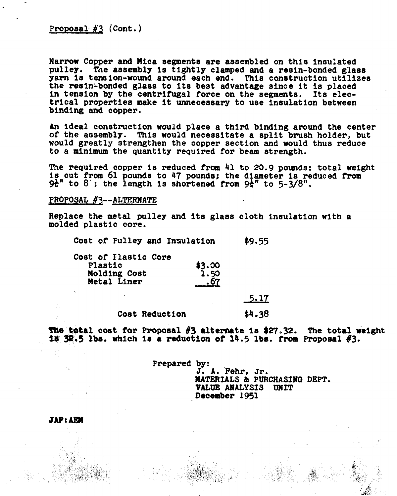Proposal  $#3$  (Cont.)

Narrow Copper and Mica segments are assembled on this insuhted pulley. The assembly la tightly clamped and a resin-bonded glass yarn is tension-wound around each end. This construction utilizes the resin-bonded glass to its best advantage since it is placed in tension by the centrifugal force on the segments. Its electrical properties make it unnecessary to **use** insulation between binding and copper.

An ideal construction would place a third binding around the center of the assembly. This **would** necessitate a split brush holder, but would greatly strengthen the copper section and would thus reduce to a minimum the quantity required for beam strength.

The required copper is reduced from 41 to 20.9 pounds; total weight<br>is cut from 61 pounds to 47 pounds; the diameter is reduced from<br> $9\frac{1}{6}$ " to 8; the length is shortened from  $9\frac{1}{6}$ " to 5-3/8".

#### **PROPOSAL #3--ALTERNATE**

Replace the metal pulley and its glass cloth Insulation with a molded plastic core.

Cost of Pulley and Insulation **\$9.55** 

Cost of Flastic Core Plastic **\$3.00**<br> **Nolding Cost 1.50** Molding Cost Metal Liner .67

 $5.17$ 

Cost Reduction  $$4.38$ 

**The total cost for Proposal #3 alternate is \$27.32. The total weight is 32.5 lbs. which is a reduction of 14.5 lbs. from Proposal #3.**  $\frac{13}{28.5}$  lbs. which is a reduction of  $14.5$  lbs. from Proposal  $\#$ 3.

> Prepared by: **3.** A. Fehr, Jr. **13ATERIALS** & **PWRCHASIRQ DEPT. VALUE** AMALYSIS **UNIT December 1951**

**JAP: AEM**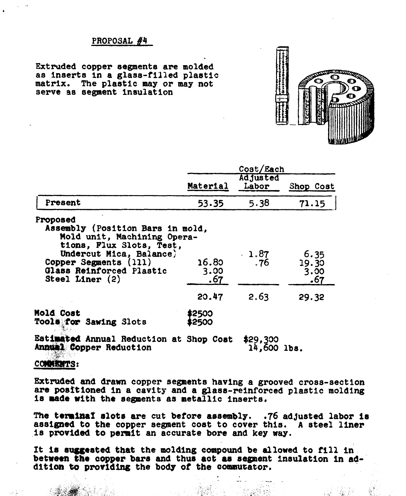#### PROPOSAL **#4**

**Extruded** copper **segments** are **molded**  as inserts **in** a glass-filled plaetic matrix. **The** plastic **may** or may not serve **as** segment insulation



|                                                                                                                                                                                                              |                               | Cost/Each                |                                       |
|--------------------------------------------------------------------------------------------------------------------------------------------------------------------------------------------------------------|-------------------------------|--------------------------|---------------------------------------|
|                                                                                                                                                                                                              | Material                      | <b>Adjusted</b><br>Labor | Shop Cost                             |
| Present                                                                                                                                                                                                      | 53.35                         | 5.38                     | 71.15                                 |
| Proposed<br>Assembly (Position Bars in mold,<br>Mold unit, Machining Opera-<br>tions, Flux Slots, Test,<br>Undercut Mica, Balance)<br>Copper Segments (111)<br>Glass Reinforced Plastic<br>Steel Liner $(2)$ | 16.80<br>3.00<br>.67<br>20.47 | 1.87<br>. 76<br>2.63     | 6.35<br>19.30<br>3.00<br>.67<br>29.32 |
| <b>Mold Cost</b><br><b>Tools for Sawing Slots</b>                                                                                                                                                            | 12500<br>2500                 |                          |                                       |
| Rat <b>imated</b> Annual Daduation at                                                                                                                                                                        | <b>Oham Maat</b>              | .                        |                                       |

Bat~tsd **Annual** Reductlon at Shop Cost **\$29, 99 Annual Copper Reduction** 

**COMMISMTS:** 

Extruded and drawn copper segments having a grooved cross-section are positioned in a cavity and a glass-reinforced plastic molding is made with the segments as metallic inserts.

The terminal slots are cut before assembly. .76 adjusted labor is assigned **to** the copper segment cost to cover this. A steel liner is provided to permit an accurate bore and key **way.** 

It is suggested that the molding compound be allowed to fill in between the copper bars and thus act as segment insulation in addition to providing the body of the commutator.